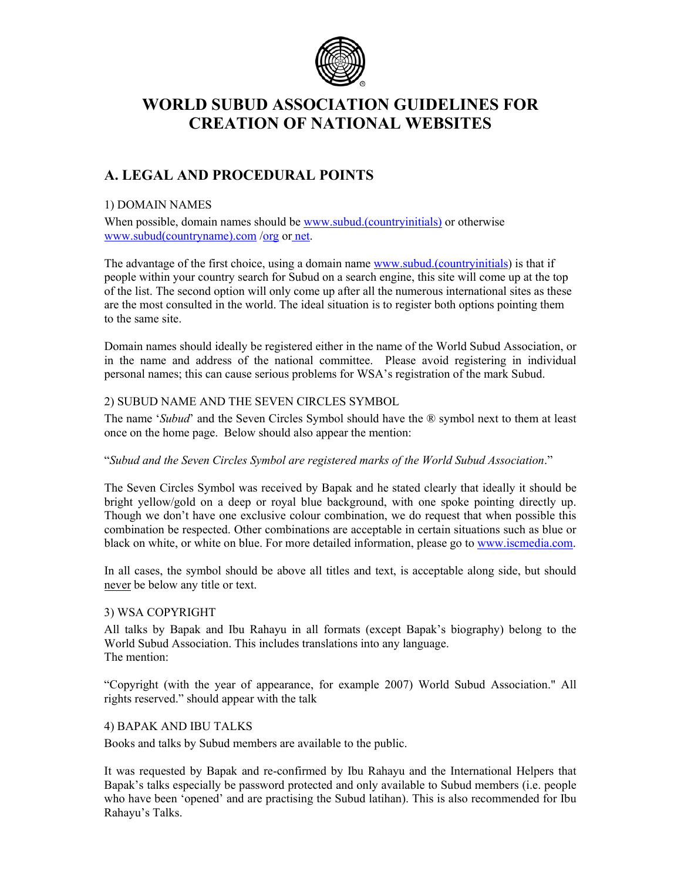

# **WORLD SUBUD ASSOCIATION GUIDELINES FOR CREATION OF NATIONAL WEBSITES**

# **A. LEGAL AND PROCEDURAL POINTS**

# 1) DOMAIN NAMES

When possible, domain names should be www.subud.(countryinitials) or otherwise www.subud(countryname).com /org or net.

The advantage of the first choice, using a domain name www.subud.(countryinitials) is that if people within your country search for Subud on a search engine, this site will come up at the top of the list. The second option will only come up after all the numerous international sites as these are the most consulted in the world. The ideal situation is to register both options pointing them to the same site.

Domain names should ideally be registered either in the name of the World Subud Association, or in the name and address of the national committee. Please avoid registering in individual personal names; this can cause serious problems for WSA's registration of the mark Subud.

## 2) SUBUD NAME AND THE SEVEN CIRCLES SYMBOL

The name '*Subud*' and the Seven Circles Symbol should have the ® symbol next to them at least once on the home page. Below should also appear the mention:

#### "*Subud and the Seven Circles Symbol are registered marks of the World Subud Association*."

The Seven Circles Symbol was received by Bapak and he stated clearly that ideally it should be bright yellow/gold on a deep or royal blue background, with one spoke pointing directly up. Though we don't have one exclusive colour combination, we do request that when possible this combination be respected. Other combinations are acceptable in certain situations such as blue or black on white, or white on blue. For more detailed information, please go to www.iscmedia.com.

In all cases, the symbol should be above all titles and text, is acceptable along side, but should never be below any title or text.

# 3) WSA COPYRIGHT

All talks by Bapak and Ibu Rahayu in all formats (except Bapak's biography) belong to the World Subud Association. This includes translations into any language. The mention:

"Copyright (with the year of appearance, for example 2007) World Subud Association." All rights reserved." should appear with the talk

#### 4) BAPAK AND IBU TALKS

Books and talks by Subud members are available to the public.

It was requested by Bapak and re-confirmed by Ibu Rahayu and the International Helpers that Bapak's talks especially be password protected and only available to Subud members (i.e. people who have been 'opened' and are practising the Subud latihan). This is also recommended for Ibu Rahayu's Talks.